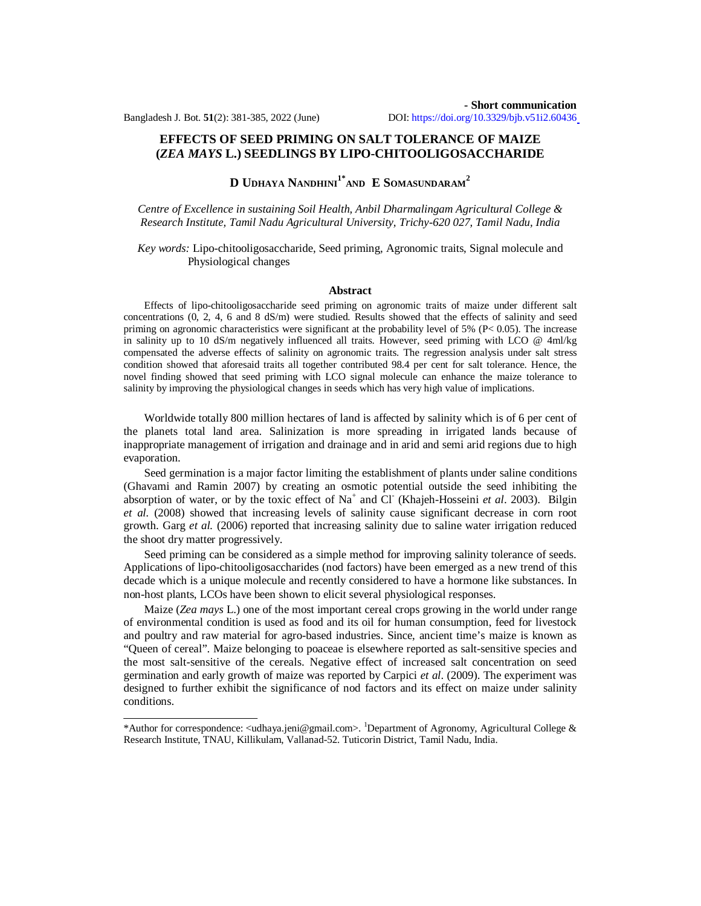## **EFFECTS OF SEED PRIMING ON SALT TOLERANCE OF MAIZE (***ZEA MAYS* **L.) SEEDLINGS BY LIPO-CHITOOLIGOSACCHARIDE**

# **D UDHAYA NANDHINI1\*AND E SOMASUNDARAM<sup>2</sup>**

*Centre of Excellence in sustaining Soil Health, Anbil Dharmalingam Agricultural College & Research Institute, Tamil Nadu Agricultural University, Trichy-620 027, Tamil Nadu, India*

*Key words:* Lipo-chitooligosaccharide, Seed priming, Agronomic traits, Signal molecule and Physiological changes

### **Abstract**

Effects of lipo-chitooligosaccharide seed priming on agronomic traits of maize under different salt concentrations (0, 2, 4, 6 and 8 dS/m) were studied. Results showed that the effects of salinity and seed priming on agronomic characteristics were significant at the probability level of 5% ( $P < 0.05$ ). The increase in salinity up to 10 dS/m negatively influenced all traits. However, seed priming with LCO @ 4ml/kg compensated the adverse effects of salinity on agronomic traits. The regression analysis under salt stress condition showed that aforesaid traits all together contributed 98.4 per cent for salt tolerance. Hence, the novel finding showed that seed priming with LCO signal molecule can enhance the maize tolerance to salinity by improving the physiological changes in seeds which has very high value of implications.

Worldwide totally 800 million hectares of land is affected by salinity which is of 6 per cent of the planets total land area. Salinization is more spreading in irrigated lands because of inappropriate management of irrigation and drainage and in arid and semi arid regions due to high evaporation.

Seed germination is a major factor limiting the establishment of plants under saline conditions (Ghavami and Ramin 2007) by creating an osmotic potential outside the seed inhibiting the absorption of water, or by the toxic effect of Na<sup>+</sup> and Cl<sup>-</sup> (Khajeh-Hosseini *et al.* 2003). Bilgin *et al.* (2008) showed that increasing levels of salinity cause significant decrease in corn root growth. Garg *et al.* (2006) reported that increasing salinity due to saline water irrigation reduced the shoot dry matter progressively.

Seed priming can be considered as a simple method for improving salinity tolerance of seeds. Applications of lipo-chitooligosaccharides (nod factors) have been emerged as a new trend of this decade which is a unique molecule and recently considered to have a hormone like substances. In non-host plants, LCOs have been shown to elicit several physiological responses.

Maize (*Zea mays* L.) one of the most important cereal crops growing in the world under range of environmental condition is used as food and its oil for human consumption, feed for livestock and poultry and raw material for agro-based industries. Since, ancient time's maize is known as "Queen of cereal". Maize belonging to poaceae is elsewhere reported as salt-sensitive species and the most salt-sensitive of the cereals. Negative effect of increased salt concentration on seed germination and early growth of maize was reported by Carpici *et al*. (2009). The experiment was designed to further exhibit the significance of nod factors and its effect on maize under salinity conditions.

<sup>\*</sup>Author for correspondence:  $\alpha$ idhaya.jeni@gmail.com>. <sup>1</sup>Department of Agronomy, Agricultural College & Research Institute, TNAU, Killikulam, Vallanad-52. Tuticorin District, Tamil Nadu, India.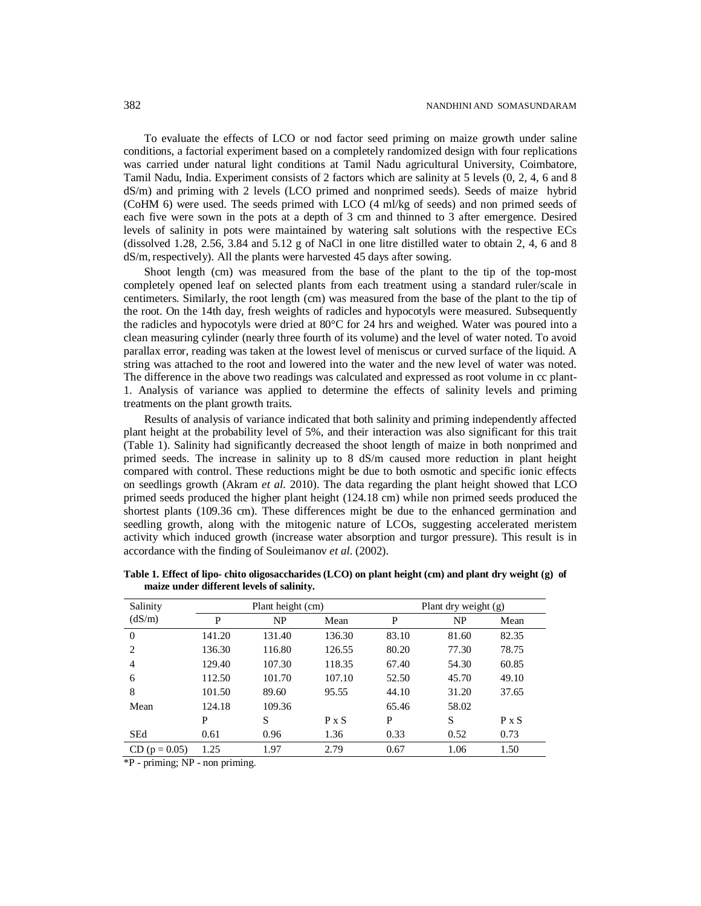To evaluate the effects of LCO or nod factor seed priming on maize growth under saline conditions, a factorial experiment based on a completely randomized design with four replications was carried under natural light conditions at Tamil Nadu agricultural University, Coimbatore, Tamil Nadu, India. Experiment consists of 2 factors which are salinity at 5 levels (0, 2, 4, 6 and 8 dS/m) and priming with 2 levels (LCO primed and nonprimed seeds). Seeds of maize hybrid (CoHM 6) were used. The seeds primed with LCO (4 ml/kg of seeds) and non primed seeds of each five were sown in the pots at a depth of 3 cm and thinned to 3 after emergence. Desired levels of salinity in pots were maintained by watering salt solutions with the respective ECs (dissolved 1.28, 2.56, 3.84 and 5.12 g of NaCl in one litre distilled water to obtain 2, 4, 6 and 8 dS/m, respectively). All the plants were harvested 45 days after sowing.

Shoot length (cm) was measured from the base of the plant to the tip of the top-most completely opened leaf on selected plants from each treatment using a standard ruler/scale in centimeters. Similarly, the root length (cm) was measured from the base of the plant to the tip of the root. On the 14th day, fresh weights of radicles and hypocotyls were measured. Subsequently the radicles and hypocotyls were dried at 80°C for 24 hrs and weighed. Water was poured into a clean measuring cylinder (nearly three fourth of its volume) and the level of water noted. To avoid parallax error, reading was taken at the lowest level of meniscus or curved surface of the liquid. A string was attached to the root and lowered into the water and the new level of water was noted. The difference in the above two readings was calculated and expressed as root volume in cc plant-1. Analysis of variance was applied to determine the effects of salinity levels and priming treatments on the plant growth traits.

Results of analysis of variance indicated that both salinity and priming independently affected plant height at the probability level of 5%, and their interaction was also significant for this trait (Table 1). Salinity had significantly decreased the shoot length of maize in both nonprimed and primed seeds. The increase in salinity up to 8 dS/m caused more reduction in plant height compared with control. These reductions might be due to both osmotic and specific ionic effects on seedlings growth (Akram *et al*. 2010). The data regarding the plant height showed that LCO primed seeds produced the higher plant height (124.18 cm) while non primed seeds produced the shortest plants (109.36 cm). These differences might be due to the enhanced germination and seedling growth, along with the mitogenic nature of LCOs, suggesting accelerated meristem activity which induced growth (increase water absorption and turgor pressure). This result is in accordance with the finding of Souleimanov *et al*. (2002).

| Salinity        | Plant height (cm) |        |        | Plant dry weight $(g)$ |       |              |
|-----------------|-------------------|--------|--------|------------------------|-------|--------------|
| (dS/m)          | P                 | NP     | Mean   | P                      | NP    | Mean         |
| $\Omega$        | 141.20            | 131.40 | 136.30 | 83.10                  | 81.60 | 82.35        |
| 2               | 136.30            | 116.80 | 126.55 | 80.20                  | 77.30 | 78.75        |
| $\overline{4}$  | 129.40            | 107.30 | 118.35 | 67.40                  | 54.30 | 60.85        |
| 6               | 112.50            | 101.70 | 107.10 | 52.50                  | 45.70 | 49.10        |
| 8               | 101.50            | 89.60  | 95.55  | 44.10                  | 31.20 | 37.65        |
| Mean            | 124.18            | 109.36 |        | 65.46                  | 58.02 |              |
|                 | P                 | S      | P X S  | P                      | S     | $P \times S$ |
| <b>SEd</b>      | 0.61              | 0.96   | 1.36   | 0.33                   | 0.52  | 0.73         |
| $CD (p = 0.05)$ | 1.25              | 1.97   | 2.79   | 0.67                   | 1.06  | 1.50         |

**Table 1. Effect of lipo- chito oligosaccharides (LCO) on plant height (cm) and plant dry weight (g) of maize under different levels of salinity.**

\*P - priming; NP - non priming.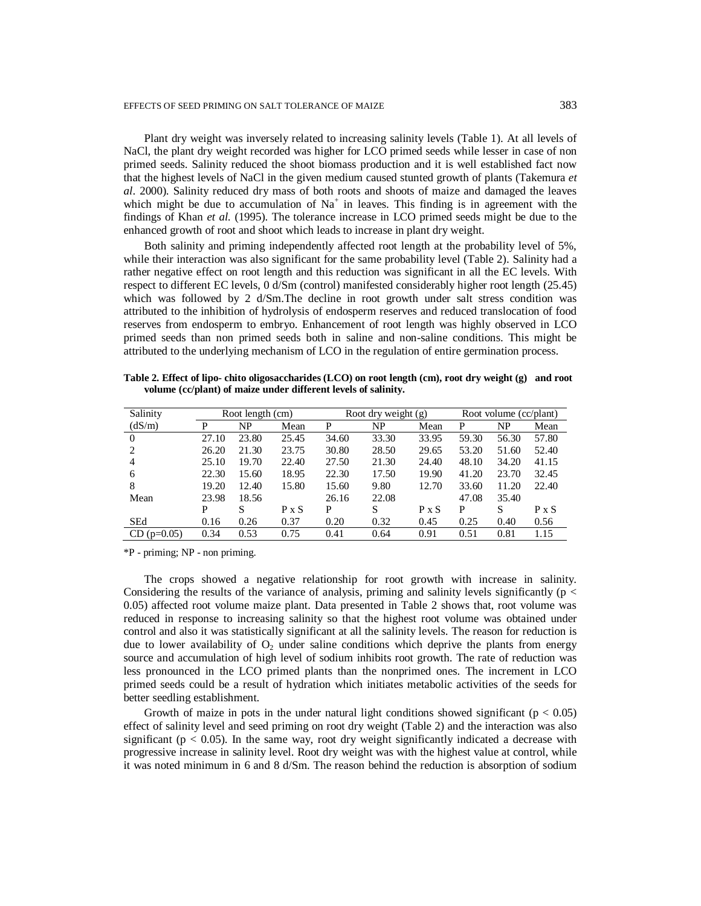Plant dry weight was inversely related to increasing salinity levels (Table 1). At all levels of NaCl, the plant dry weight recorded was higher for LCO primed seeds while lesser in case of non primed seeds. Salinity reduced the shoot biomass production and it is well established fact now that the highest levels of NaCl in the given medium caused stunted growth of plants (Takemura *et al*. 2000). Salinity reduced dry mass of both roots and shoots of maize and damaged the leaves which might be due to accumulation of  $Na<sup>+</sup>$  in leaves. This finding is in agreement with the findings of Khan *et al.* (1995). The tolerance increase in LCO primed seeds might be due to the enhanced growth of root and shoot which leads to increase in plant dry weight.

Both salinity and priming independently affected root length at the probability level of 5%, while their interaction was also significant for the same probability level (Table 2). Salinity had a rather negative effect on root length and this reduction was significant in all the EC levels. With respect to different EC levels, 0 d/Sm (control) manifested considerably higher root length (25.45) which was followed by 2 d/Sm.The decline in root growth under salt stress condition was attributed to the inhibition of hydrolysis of endosperm reserves and reduced translocation of food reserves from endosperm to embryo. Enhancement of root length was highly observed in LCO primed seeds than non primed seeds both in saline and non-saline conditions. This might be attributed to the underlying mechanism of LCO in the regulation of entire germination process.

| Table 2. Effect of lipo-chito oligosaccharides (LCO) on root length (cm), root dry weight (g) and root |  |
|--------------------------------------------------------------------------------------------------------|--|
| volume (cc/plant) of maize under different levels of salinity.                                         |  |

| Salinity      | Root length (cm) |       |       | Root dry weight (g) |       |       | Root volume (cc/plant) |       |       |
|---------------|------------------|-------|-------|---------------------|-------|-------|------------------------|-------|-------|
| (dS/m)        | P                | NP    | Mean  | P                   | NP    | Mean  | P                      | NP    | Mean  |
| $\left($      | 27.10            | 23.80 | 25.45 | 34.60               | 33.30 | 33.95 | 59.30                  | 56.30 | 57.80 |
| 2             | 26.20            | 21.30 | 23.75 | 30.80               | 28.50 | 29.65 | 53.20                  | 51.60 | 52.40 |
| 4             | 25.10            | 19.70 | 22.40 | 27.50               | 21.30 | 24.40 | 48.10                  | 34.20 | 41.15 |
| 6             | 22.30            | 15.60 | 18.95 | 22.30               | 17.50 | 19.90 | 41.20                  | 23.70 | 32.45 |
| 8             | 19.20            | 12.40 | 15.80 | 15.60               | 9.80  | 12.70 | 33.60                  | 11.20 | 22.40 |
| Mean          | 23.98            | 18.56 |       | 26.16               | 22.08 |       | 47.08                  | 35.40 |       |
|               | P                | S     | P X S | P                   | S     | P X S | P                      | S     | P X S |
| SEd           | 0.16             | 0.26  | 0.37  | 0.20                | 0.32  | 0.45  | 0.25                   | 0.40  | 0.56  |
| $CD$ (p=0.05) | 0.34             | 0.53  | 0.75  | 0.41                | 0.64  | 0.91  | 0.51                   | 0.81  | 1.15  |

\*P - priming; NP - non priming.

The crops showed a negative relationship for root growth with increase in salinity. Considering the results of the variance of analysis, priming and salinity levels significantly ( $p <$ 0.05) affected root volume maize plant. Data presented in Table 2 shows that, root volume was reduced in response to increasing salinity so that the highest root volume was obtained under control and also it was statistically significant at all the salinity levels. The reason for reduction is due to lower availability of  $O<sub>2</sub>$  under saline conditions which deprive the plants from energy source and accumulation of high level of sodium inhibits root growth. The rate of reduction was less pronounced in the LCO primed plants than the nonprimed ones. The increment in LCO primed seeds could be a result of hydration which initiates metabolic activities of the seeds for better seedling establishment.

Growth of maize in pots in the under natural light conditions showed significant ( $p < 0.05$ ) effect of salinity level and seed priming on root dry weight (Table 2) and the interaction was also significant ( $p < 0.05$ ). In the same way, root dry weight significantly indicated a decrease with progressive increase in salinity level. Root dry weight was with the highest value at control, while it was noted minimum in 6 and 8 d/Sm. The reason behind the reduction is absorption of sodium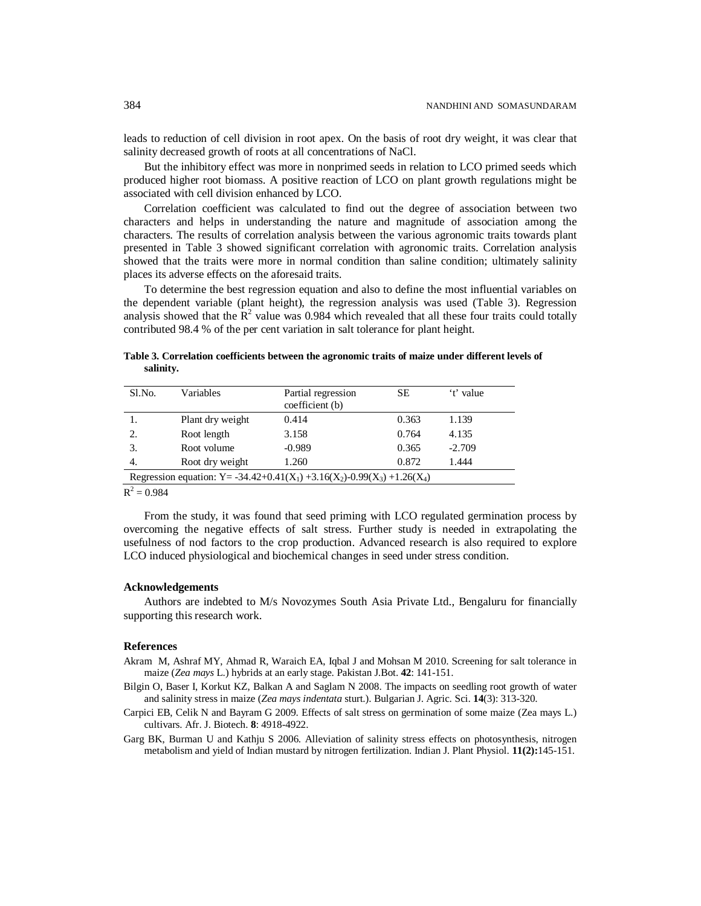leads to reduction of cell division in root apex. On the basis of root dry weight, it was clear that salinity decreased growth of roots at all concentrations of NaCl.

But the inhibitory effect was more in nonprimed seeds in relation to LCO primed seeds which produced higher root biomass. A positive reaction of LCO on plant growth regulations might be associated with cell division enhanced by LCO.

Correlation coefficient was calculated to find out the degree of association between two characters and helps in understanding the nature and magnitude of association among the characters. The results of correlation analysis between the various agronomic traits towards plant presented in Table 3 showed significant correlation with agronomic traits. Correlation analysis showed that the traits were more in normal condition than saline condition; ultimately salinity places its adverse effects on the aforesaid traits.

To determine the best regression equation and also to define the most influential variables on the dependent variable (plant height), the regression analysis was used (Table 3). Regression analysis showed that the  $\mathbb{R}^2$  value was 0.984 which revealed that all these four traits could totally contributed 98.4 % of the per cent variation in salt tolerance for plant height.

**Table 3. Correlation coefficients between the agronomic traits of maize under different levels of salinity.**

| Sl.No.                                                                                                                    | Variables        | Partial regression<br>coefficient (b) | SЕ    | 't' value |  |  |
|---------------------------------------------------------------------------------------------------------------------------|------------------|---------------------------------------|-------|-----------|--|--|
|                                                                                                                           | Plant dry weight | 0.414                                 | 0.363 | 1.139     |  |  |
| 2.                                                                                                                        | Root length      | 3.158                                 | 0.764 | 4.135     |  |  |
| 3.                                                                                                                        | Root volume      | $-0.989$                              | 0.365 | $-2.709$  |  |  |
| 4.                                                                                                                        | Root dry weight  | 1.260                                 | 0.872 | 1.444     |  |  |
| Regression equation: Y = -34.42+0.41(X <sub>1</sub> ) +3.16(X <sub>2</sub> )-0.99(X <sub>3</sub> ) +1.26(X <sub>4</sub> ) |                  |                                       |       |           |  |  |

 $R^2 = 0.984$ 

From the study, it was found that seed priming with LCO regulated germination process by overcoming the negative effects of salt stress. Further study is needed in extrapolating the usefulness of nod factors to the crop production. Advanced research is also required to explore LCO induced physiological and biochemical changes in seed under stress condition.

### **Acknowledgements**

Authors are indebted to M/s Novozymes South Asia Private Ltd., Bengaluru for financially supporting this research work.

### **References**

- Akram M, Ashraf MY, Ahmad R, Waraich EA, Iqbal J and Mohsan M 2010. Screening for salt tolerance in maize (*Zea mays* L.) hybrids at an early stage. Pakistan J.Bot. **42**: 141-151.
- Bilgin O, Baser I, Korkut KZ, Balkan A and Saglam N 2008. The impacts on seedling root growth of water and salinity stress in maize (*Zea mays indentata* sturt.). Bulgarian J. Agric. Sci. **14**(3): 313-320.
- Carpici EB, Celik N and Bayram G 2009. Effects of salt stress on germination of some maize (Zea mays L.) cultivars. Afr. J. Biotech. **8**: 4918-4922.
- Garg BK, Burman U and Kathju S 2006. Alleviation of salinity stress effects on photosynthesis, nitrogen metabolism and yield of Indian mustard by nitrogen fertilization. Indian J. Plant Physiol. **11(2):**145-151.